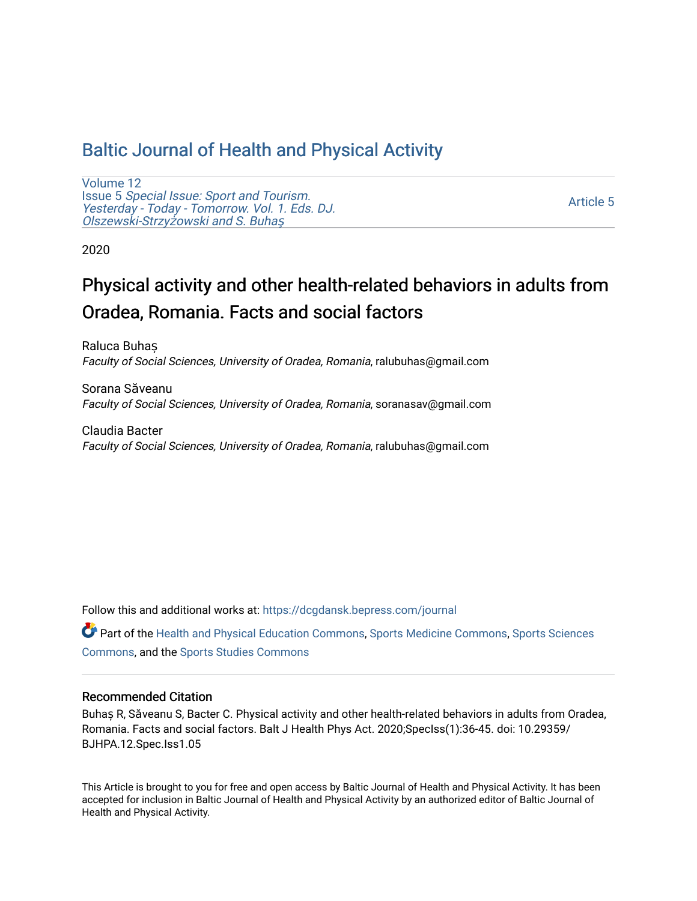## [Baltic Journal of Health and Physical Activity](https://dcgdansk.bepress.com/journal)

[Volume 12](https://dcgdansk.bepress.com/journal/vol12) Issue 5 [Special Issue: Sport and Tourism.](https://dcgdansk.bepress.com/journal/vol12/iss5)  [Yesterday - Today - Tomorrow. Vol. 1. Eds. DJ.](https://dcgdansk.bepress.com/journal/vol12/iss5)  [Olszewski-Strzy](https://dcgdansk.bepress.com/journal/vol12/iss5)żowski and S. Buhaş

[Article 5](https://dcgdansk.bepress.com/journal/vol12/iss5/5) 

2020

# Physical activity and other health-related behaviors in adults from Oradea, Romania. Facts and social factors

Raluca Buhaș Faculty of Social Sciences, University of Oradea, Romania, ralubuhas@gmail.com

Sorana Săveanu Faculty of Social Sciences, University of Oradea, Romania, soranasav@gmail.com

Claudia Bacter Faculty of Social Sciences, University of Oradea, Romania, ralubuhas@gmail.com

Follow this and additional works at: [https://dcgdansk.bepress.com/journal](https://dcgdansk.bepress.com/journal?utm_source=dcgdansk.bepress.com%2Fjournal%2Fvol12%2Fiss5%2F5&utm_medium=PDF&utm_campaign=PDFCoverPages)

Part of the [Health and Physical Education Commons](http://network.bepress.com/hgg/discipline/1327?utm_source=dcgdansk.bepress.com%2Fjournal%2Fvol12%2Fiss5%2F5&utm_medium=PDF&utm_campaign=PDFCoverPages), [Sports Medicine Commons,](http://network.bepress.com/hgg/discipline/1331?utm_source=dcgdansk.bepress.com%2Fjournal%2Fvol12%2Fiss5%2F5&utm_medium=PDF&utm_campaign=PDFCoverPages) [Sports Sciences](http://network.bepress.com/hgg/discipline/759?utm_source=dcgdansk.bepress.com%2Fjournal%2Fvol12%2Fiss5%2F5&utm_medium=PDF&utm_campaign=PDFCoverPages) [Commons](http://network.bepress.com/hgg/discipline/759?utm_source=dcgdansk.bepress.com%2Fjournal%2Fvol12%2Fiss5%2F5&utm_medium=PDF&utm_campaign=PDFCoverPages), and the [Sports Studies Commons](http://network.bepress.com/hgg/discipline/1198?utm_source=dcgdansk.bepress.com%2Fjournal%2Fvol12%2Fiss5%2F5&utm_medium=PDF&utm_campaign=PDFCoverPages) 

#### Recommended Citation

Buhaș R, Săveanu S, Bacter C. Physical activity and other health-related behaviors in adults from Oradea, Romania. Facts and social factors. Balt J Health Phys Act. 2020;SpecIss(1):36-45. doi: 10.29359/ BJHPA.12.Spec.Iss1.05

This Article is brought to you for free and open access by Baltic Journal of Health and Physical Activity. It has been accepted for inclusion in Baltic Journal of Health and Physical Activity by an authorized editor of Baltic Journal of Health and Physical Activity.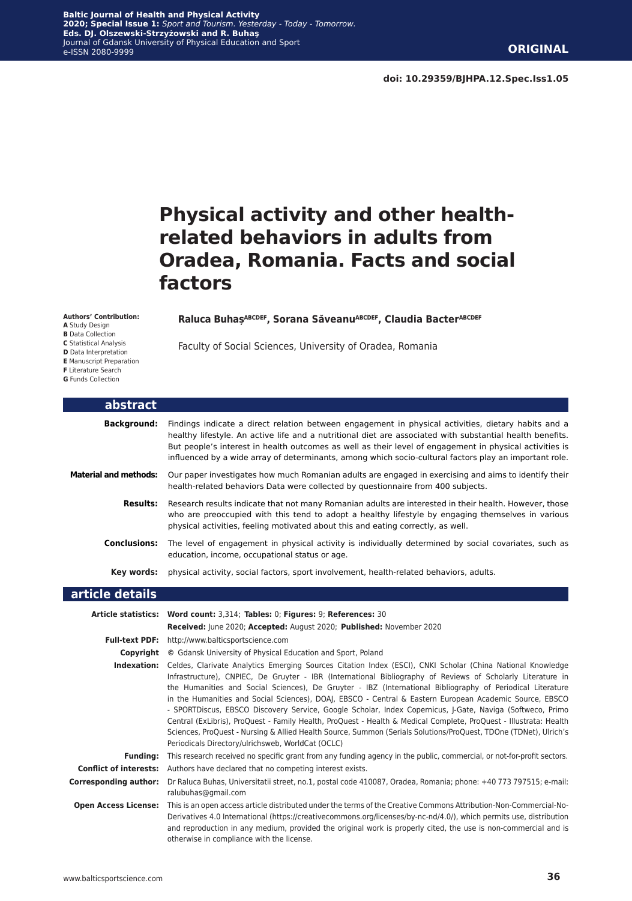# **Physical activity and other healthrelated behaviors in adults from Oradea, Romania. Facts and social factors**

#### **Raluca BuhașABCDEF, Sorana SăveanuABCDEF, Claudia BacterABCDEF**

Faculty of Social Sciences, University of Oradea, Romania

- **A** Study Design
- **B** Data Collection
- **C** Statistical Analysis **D** Data Interpretation
- 

**Authors' Contribution:**

**E** Manuscript Preparation

**F** Literature Search

**G** Funds Collection

| <b>abstract</b>              |                                                                                                                                                                                                                                                                                                                                                                                                                                       |
|------------------------------|---------------------------------------------------------------------------------------------------------------------------------------------------------------------------------------------------------------------------------------------------------------------------------------------------------------------------------------------------------------------------------------------------------------------------------------|
| <b>Background:</b>           | Findings indicate a direct relation between engagement in physical activities, dietary habits and a<br>healthy lifestyle. An active life and a nutritional diet are associated with substantial health benefits.<br>But people's interest in health outcomes as well as their level of engagement in physical activities is<br>influenced by a wide array of determinants, among which socio-cultural factors play an important role. |
| <b>Material and methods:</b> | Our paper investigates how much Romanian adults are engaged in exercising and aims to identify their<br>health-related behaviors Data were collected by questionnaire from 400 subjects.                                                                                                                                                                                                                                              |
| <b>Results:</b>              | Research results indicate that not many Romanian adults are interested in their health. However, those<br>who are preoccupied with this tend to adopt a healthy lifestyle by engaging themselves in various<br>physical activities, feeling motivated about this and eating correctly, as well.                                                                                                                                       |
| <b>Conclusions:</b>          | The level of engagement in physical activity is individually determined by social covariates, such as<br>education, income, occupational status or age.                                                                                                                                                                                                                                                                               |
| Key words:                   | physical activity, social factors, sport involvement, health-related behaviors, adults.                                                                                                                                                                                                                                                                                                                                               |
| article details              |                                                                                                                                                                                                                                                                                                                                                                                                                                       |
|                              | Article statistics: Word count: 3,314; Tables: 0; Figures: 9; References: 30<br>Received: June 2020; Accepted: August 2020; Published: November 2020                                                                                                                                                                                                                                                                                  |
|                              | <b>Full-text PDF:</b> http://www.balticsportscience.com                                                                                                                                                                                                                                                                                                                                                                               |

**Copyright ©** Gdansk University of Physical Education and Sport, Poland

**Indexation:** Celdes, Clarivate Analytics Emerging Sources Citation Index (ESCI), CNKI Scholar (China National Knowledge Infrastructure), CNPIEC, De Gruyter - IBR (International Bibliography of Reviews of Scholarly Literature in the Humanities and Social Sciences), De Gruyter - IBZ (International Bibliography of Periodical Literature in the Humanities and Social Sciences), DOAJ, EBSCO - Central & Eastern European Academic Source, EBSCO - SPORTDiscus, EBSCO Discovery Service, Google Scholar, Index Copernicus, J-Gate, Naviga (Softweco, Primo Central (ExLibris), ProQuest - Family Health, ProQuest - Health & Medical Complete, ProQuest - Illustrata: Health Sciences, ProQuest - Nursing & Allied Health Source, Summon (Serials Solutions/ProQuest, TDOne (TDNet), Ulrich's Periodicals Directory/ulrichsweb, WorldCat (OCLC)

**Funding:** This research received no specific grant from any funding agency in the public, commercial, or not-for-profit sectors. **Conflict of interests:** Authors have declared that no competing interest exists.

**Corresponding author:** Dr Raluca Buhas, Universitatii street, no.1, postal code 410087, Oradea, Romania; phone: +40 773 797515; e-mail: ralubuhas@gmail.com

**Open Access License:** This is an open access article distributed under the terms of the Creative Commons Attribution-Non-Commercial-No-Derivatives 4.0 International (https://creativecommons.org/licenses/by-nc-nd/4.0/), which permits use, distribution and reproduction in any medium, provided the original work is properly cited, the use is non-commercial and is otherwise in compliance with the license.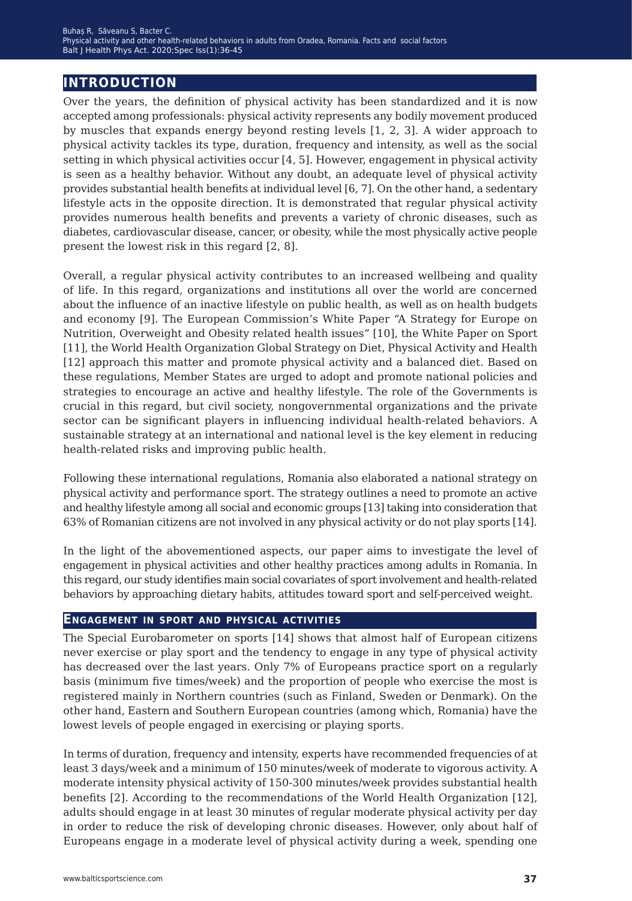### **introduction**

Over the years, the definition of physical activity has been standardized and it is now accepted among professionals: physical activity represents any bodily movement produced by muscles that expands energy beyond resting levels [1, 2, 3]. A wider approach to physical activity tackles its type, duration, frequency and intensity, as well as the social setting in which physical activities occur [4, 5]. However, engagement in physical activity is seen as a healthy behavior. Without any doubt, an adequate level of physical activity provides substantial health benefits at individual level [6, 7]. On the other hand, a sedentary lifestyle acts in the opposite direction. It is demonstrated that regular physical activity provides numerous health benefits and prevents a variety of chronic diseases, such as diabetes, cardiovascular disease, cancer, or obesity, while the most physically active people present the lowest risk in this regard [2, 8].

Overall, a regular physical activity contributes to an increased wellbeing and quality of life. In this regard, organizations and institutions all over the world are concerned about the influence of an inactive lifestyle on public health, as well as on health budgets and economy [9]. The European Commission's White Paper "A Strategy for Europe on Nutrition, Overweight and Obesity related health issues" [10], the White Paper on Sport [11], the World Health Organization Global Strategy on Diet, Physical Activity and Health [12] approach this matter and promote physical activity and a balanced diet. Based on these regulations, Member States are urged to adopt and promote national policies and strategies to encourage an active and healthy lifestyle. The role of the Governments is crucial in this regard, but civil society, nongovernmental organizations and the private sector can be significant players in influencing individual health-related behaviors. A sustainable strategy at an international and national level is the key element in reducing health-related risks and improving public health.

Following these international regulations, Romania also elaborated a national strategy on physical activity and performance sport. The strategy outlines a need to promote an active and healthy lifestyle among all social and economic groups [13] taking into consideration that 63% of Romanian citizens are not involved in any physical activity or do not play sports [14].

In the light of the abovementioned aspects, our paper aims to investigate the level of engagement in physical activities and other healthy practices among adults in Romania. In this regard, our study identifies main social covariates of sport involvement and health-related behaviors by approaching dietary habits, attitudes toward sport and self-perceived weight.

### **Engagement in sport and physical activities**

The Special Eurobarometer on sports [14] shows that almost half of European citizens never exercise or play sport and the tendency to engage in any type of physical activity has decreased over the last years. Only 7% of Europeans practice sport on a regularly basis (minimum five times/week) and the proportion of people who exercise the most is registered mainly in Northern countries (such as Finland, Sweden or Denmark). On the other hand, Eastern and Southern European countries (among which, Romania) have the lowest levels of people engaged in exercising or playing sports.

In terms of duration, frequency and intensity, experts have recommended frequencies of at least 3 days/week and a minimum of 150 minutes/week of moderate to vigorous activity. A moderate intensity physical activity of 150-300 minutes/week provides substantial health benefits [2]. According to the recommendations of the World Health Organization [12], adults should engage in at least 30 minutes of regular moderate physical activity per day in order to reduce the risk of developing chronic diseases. However, only about half of Europeans engage in a moderate level of physical activity during a week, spending one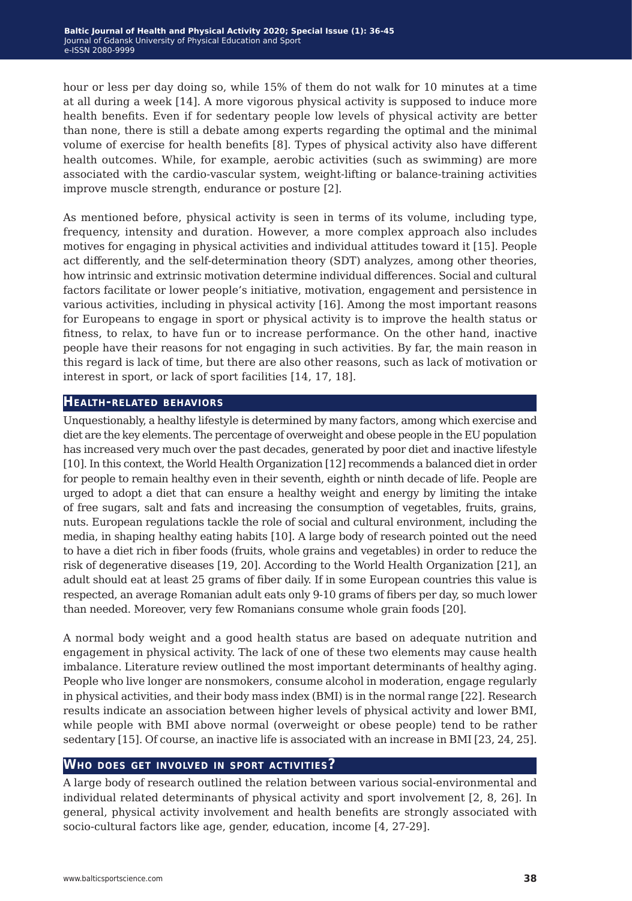hour or less per day doing so, while 15% of them do not walk for 10 minutes at a time at all during a week [14]. A more vigorous physical activity is supposed to induce more health benefits. Even if for sedentary people low levels of physical activity are better than none, there is still a debate among experts regarding the optimal and the minimal volume of exercise for health benefits [8]. Types of physical activity also have different health outcomes. While, for example, aerobic activities (such as swimming) are more associated with the cardio-vascular system, weight-lifting or balance-training activities improve muscle strength, endurance or posture [2].

As mentioned before, physical activity is seen in terms of its volume, including type, frequency, intensity and duration. However, a more complex approach also includes motives for engaging in physical activities and individual attitudes toward it [15]. People act differently, and the self-determination theory (SDT) analyzes, among other theories, how intrinsic and extrinsic motivation determine individual differences. Social and cultural factors facilitate or lower people's initiative, motivation, engagement and persistence in various activities, including in physical activity [16]. Among the most important reasons for Europeans to engage in sport or physical activity is to improve the health status or fitness, to relax, to have fun or to increase performance. On the other hand, inactive people have their reasons for not engaging in such activities. By far, the main reason in this regard is lack of time, but there are also other reasons, such as lack of motivation or interest in sport, or lack of sport facilities [14, 17, 18].

#### **Health-related behaviors**

Unquestionably, a healthy lifestyle is determined by many factors, among which exercise and diet are the key elements. The percentage of overweight and obese people in the EU population has increased very much over the past decades, generated by poor diet and inactive lifestyle [10]. In this context, the World Health Organization [12] recommends a balanced diet in order for people to remain healthy even in their seventh, eighth or ninth decade of life. People are urged to adopt a diet that can ensure a healthy weight and energy by limiting the intake of free sugars, salt and fats and increasing the consumption of vegetables, fruits, grains, nuts. European regulations tackle the role of social and cultural environment, including the media, in shaping healthy eating habits [10]. A large body of research pointed out the need to have a diet rich in fiber foods (fruits, whole grains and vegetables) in order to reduce the risk of degenerative diseases [19, 20]. According to the World Health Organization [21], an adult should eat at least 25 grams of fiber daily. If in some European countries this value is respected, an average Romanian adult eats only 9-10 grams of fibers per day, so much lower than needed. Moreover, very few Romanians consume whole grain foods [20].

A normal body weight and a good health status are based on adequate nutrition and engagement in physical activity. The lack of one of these two elements may cause health imbalance. Literature review outlined the most important determinants of healthy aging. People who live longer are nonsmokers, consume alcohol in moderation, engage regularly in physical activities, and their body mass index (BMI) is in the normal range [22]. Research results indicate an association between higher levels of physical activity and lower BMI, while people with BMI above normal (overweight or obese people) tend to be rather sedentary [15]. Of course, an inactive life is associated with an increase in BMI [23, 24, 25].

### **Who does get involved in sport activities?**

A large body of research outlined the relation between various social-environmental and individual related determinants of physical activity and sport involvement [2, 8, 26]. In general, physical activity involvement and health benefits are strongly associated with socio-cultural factors like age, gender, education, income [4, 27-29].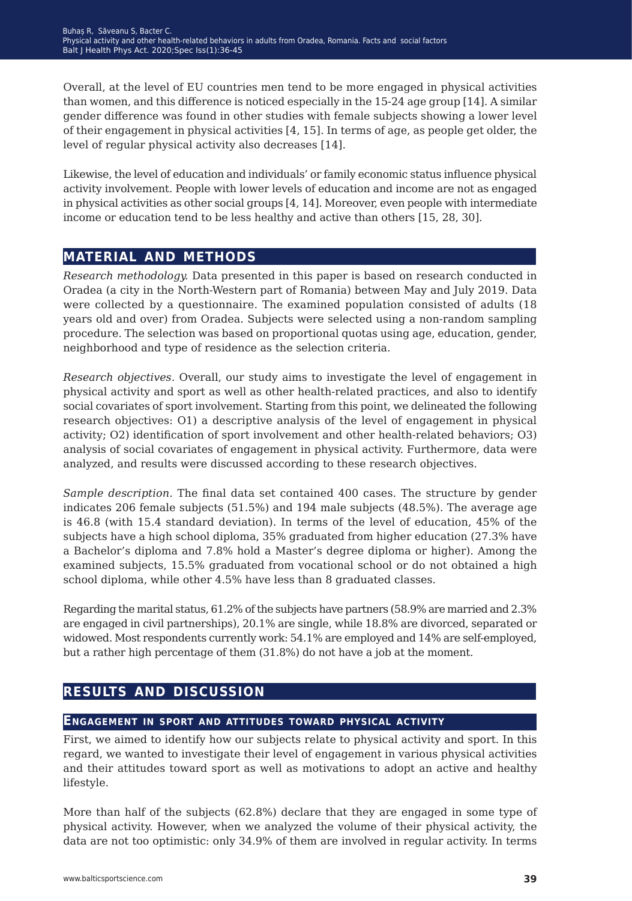Overall, at the level of EU countries men tend to be more engaged in physical activities than women, and this difference is noticed especially in the 15-24 age group [14]. A similar gender difference was found in other studies with female subjects showing a lower level of their engagement in physical activities [4, 15]. In terms of age, as people get older, the level of regular physical activity also decreases [14].

Likewise, the level of education and individuals' or family economic status influence physical activity involvement. People with lower levels of education and income are not as engaged in physical activities as other social groups [4, 14]. Moreover, even people with intermediate income or education tend to be less healthy and active than others [15, 28, 30].

## **material and methods**

*Research methodology.* Data presented in this paper is based on research conducted in Oradea (a city in the North-Western part of Romania) between May and July 2019. Data were collected by a questionnaire. The examined population consisted of adults (18 years old and over) from Oradea. Subjects were selected using a non-random sampling procedure. The selection was based on proportional quotas using age, education, gender, neighborhood and type of residence as the selection criteria.

*Research objectives.* Overall, our study aims to investigate the level of engagement in physical activity and sport as well as other health-related practices, and also to identify social covariates of sport involvement. Starting from this point, we delineated the following research objectives: O1) a descriptive analysis of the level of engagement in physical activity; O2) identification of sport involvement and other health-related behaviors; O3) analysis of social covariates of engagement in physical activity. Furthermore, data were analyzed, and results were discussed according to these research objectives.

*Sample description.* The final data set contained 400 cases. The structure by gender indicates 206 female subjects (51.5%) and 194 male subjects (48.5%). The average age is 46.8 (with 15.4 standard deviation). In terms of the level of education, 45% of the subjects have a high school diploma, 35% graduated from higher education (27.3% have a Bachelor's diploma and 7.8% hold a Master's degree diploma or higher). Among the examined subjects, 15.5% graduated from vocational school or do not obtained a high school diploma, while other 4.5% have less than 8 graduated classes.

Regarding the marital status, 61.2% of the subjects have partners (58.9% are married and 2.3% are engaged in civil partnerships), 20.1% are single, while 18.8% are divorced, separated or widowed. Most respondents currently work: 54.1% are employed and 14% are self-employed, but a rather high percentage of them (31.8%) do not have a job at the moment.

## **results and discussion**

### **Engagement in sport and attitudes toward physical activity**

First, we aimed to identify how our subjects relate to physical activity and sport. In this regard, we wanted to investigate their level of engagement in various physical activities and their attitudes toward sport as well as motivations to adopt an active and healthy lifestyle.

More than half of the subjects (62.8%) declare that they are engaged in some type of physical activity. However, when we analyzed the volume of their physical activity, the data are not too optimistic: only 34.9% of them are involved in regular activity. In terms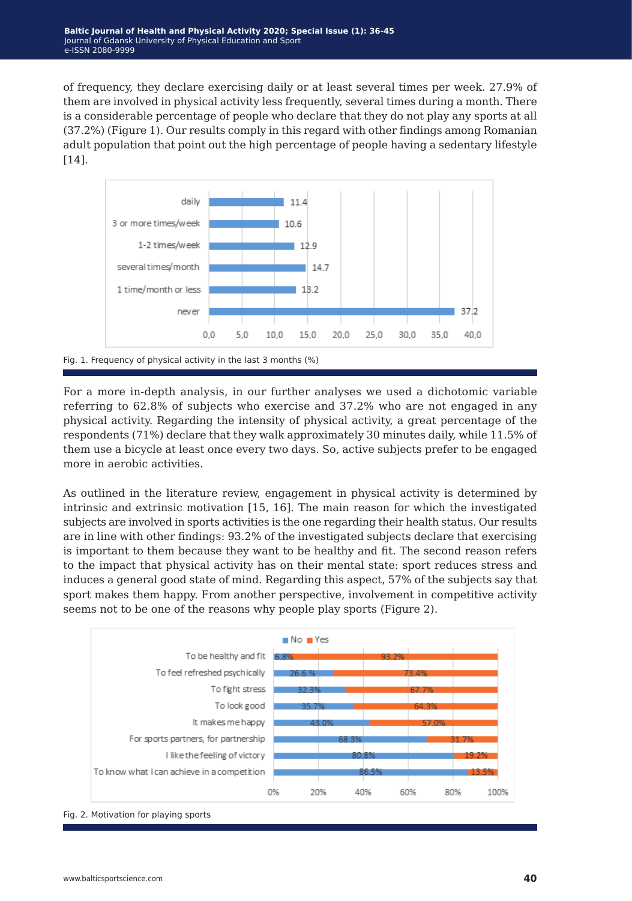of frequency, they declare exercising daily or at least several times per week. 27.9% of them are involved in physical activity less frequently, several times during a month. There is a considerable percentage of people who declare that they do not play any sports at all (37.2%) (Figure 1). Our results comply in this regard with other findings among Romanian adult population that point out the high percentage of people having a sedentary lifestyle [14].



Fig. 1. Frequency of physical activity in the last 3 months (%)

For a more in-depth analysis, in our further analyses we used a dichotomic variable referring to 62.8% of subjects who exercise and 37.2% who are not engaged in any physical activity. Regarding the intensity of physical activity, a great percentage of the respondents (71%) declare that they walk approximately 30 minutes daily, while 11.5% of them use a bicycle at least once every two days. So, active subjects prefer to be engaged more in aerobic activities.

As outlined in the literature review, engagement in physical activity is determined by intrinsic and extrinsic motivation [15, 16]. The main reason for which the investigated subjects are involved in sports activities is the one regarding their health status. Our results are in line with other findings: 93.2% of the investigated subjects declare that exercising is important to them because they want to be healthy and fit. The second reason refers to the impact that physical activity has on their mental state: sport reduces stress and induces a general good state of mind. Regarding this aspect, 57% of the subjects say that sport makes them happy. From another perspective, involvement in competitive activity seems not to be one of the reasons why people play sports (Figure 2).



Fig. 2. Motivation for playing sports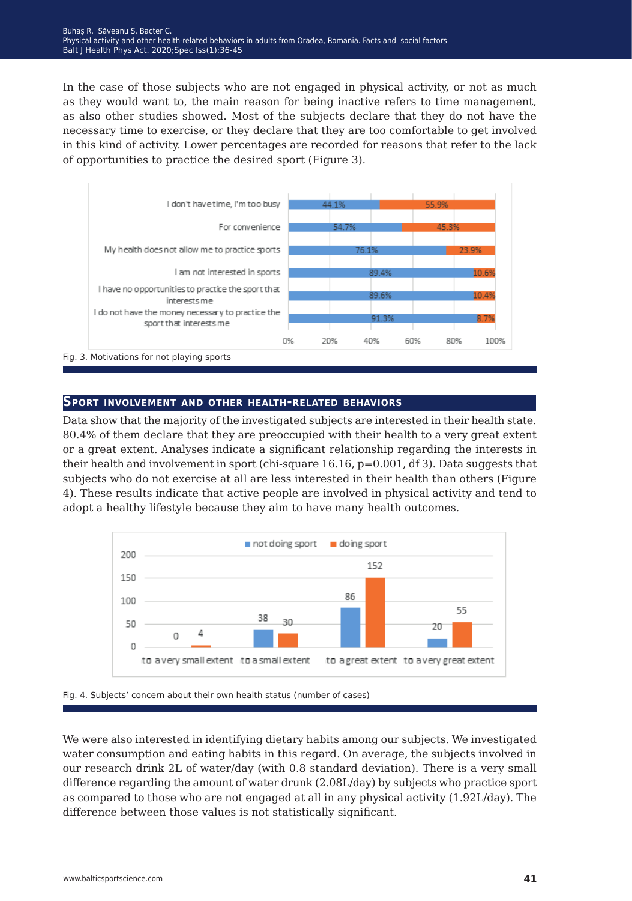In the case of those subjects who are not engaged in physical activity, or not as much as they would want to, the main reason for being inactive refers to time management, as also other studies showed. Most of the subjects declare that they do not have the necessary time to exercise, or they declare that they are too comfortable to get involved in this kind of activity. Lower percentages are recorded for reasons that refer to the lack of opportunities to practice the desired sport (Figure 3).



### **Sport involvement and other health-related behaviors**

Data show that the majority of the investigated subjects are interested in their health state. 80.4% of them declare that they are preoccupied with their health to a very great extent or a great extent. Analyses indicate a significant relationship regarding the interests in their health and involvement in sport (chi-square 16.16, p=0.001, df 3). Data suggests that subjects who do not exercise at all are less interested in their health than others (Figure 4). These results indicate that active people are involved in physical activity and tend to adopt a healthy lifestyle because they aim to have many health outcomes.



Fig. 4. Subjects' concern about their own health status (number of cases)

We were also interested in identifying dietary habits among our subjects. We investigated water consumption and eating habits in this regard. On average, the subjects involved in our research drink 2L of water/day (with 0.8 standard deviation). There is a very small difference regarding the amount of water drunk (2.08L/day) by subjects who practice sport as compared to those who are not engaged at all in any physical activity (1.92L/day). The difference between those values is not statistically significant.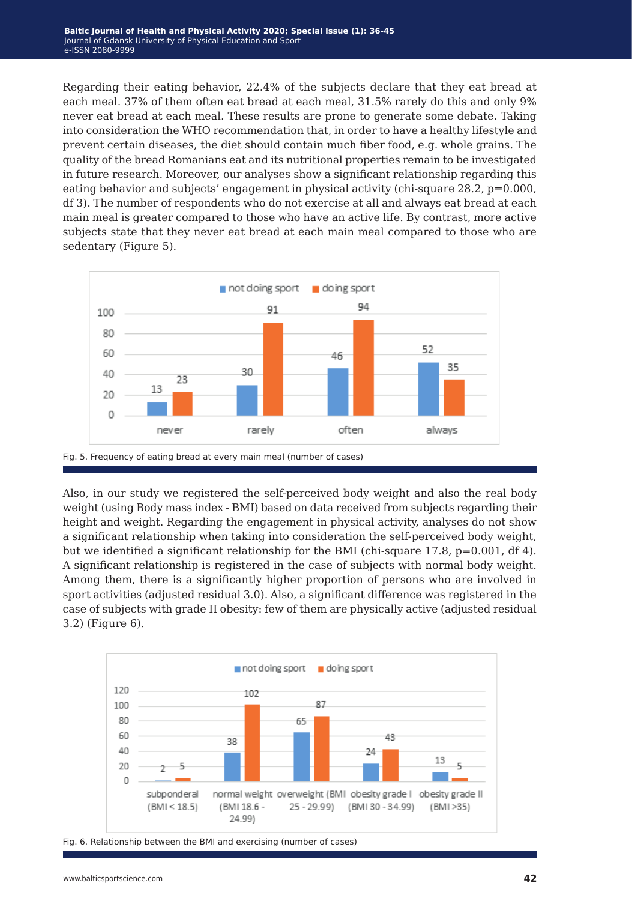Regarding their eating behavior, 22.4% of the subjects declare that they eat bread at each meal. 37% of them often eat bread at each meal, 31.5% rarely do this and only 9% never eat bread at each meal. These results are prone to generate some debate. Taking into consideration the WHO recommendation that, in order to have a healthy lifestyle and prevent certain diseases, the diet should contain much fiber food, e.g. whole grains. The quality of the bread Romanians eat and its nutritional properties remain to be investigated in future research. Moreover, our analyses show a significant relationship regarding this eating behavior and subjects' engagement in physical activity (chi-square 28.2, p=0.000, df 3). The number of respondents who do not exercise at all and always eat bread at each main meal is greater compared to those who have an active life. By contrast, more active subjects state that they never eat bread at each main meal compared to those who are sedentary (Figure 5).



Also, in our study we registered the self-perceived body weight and also the real body weight (using Body mass index - BMI) based on data received from subjects regarding their height and weight. Regarding the engagement in physical activity, analyses do not show a significant relationship when taking into consideration the self-perceived body weight, but we identified a significant relationship for the BMI (chi-square 17.8,  $p=0.001$ , df 4). A significant relationship is registered in the case of subjects with normal body weight. Among them, there is a significantly higher proportion of persons who are involved in sport activities (adjusted residual 3.0). Also, a significant difference was registered in the case of subjects with grade II obesity: few of them are physically active (adjusted residual 3.2) (Figure 6).



Fig. 6. Relationship between the BMI and exercising (number of cases)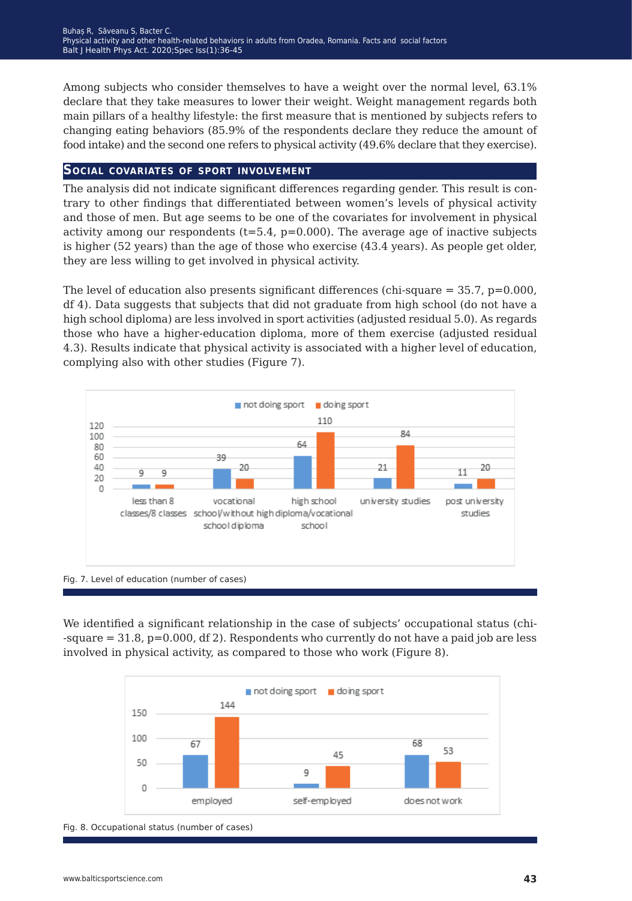Among subjects who consider themselves to have a weight over the normal level, 63.1% declare that they take measures to lower their weight. Weight management regards both main pillars of a healthy lifestyle: the first measure that is mentioned by subjects refers to changing eating behaviors (85.9% of the respondents declare they reduce the amount of food intake) and the second one refers to physical activity (49.6% declare that they exercise).

### **Social covariates of sport involvement**

The analysis did not indicate significant differences regarding gender. This result is contrary to other findings that differentiated between women's levels of physical activity and those of men. But age seems to be one of the covariates for involvement in physical activity among our respondents  $(t=5.4, p=0.000)$ . The average age of inactive subjects is higher (52 years) than the age of those who exercise (43.4 years). As people get older, they are less willing to get involved in physical activity.

The level of education also presents significant differences (chi-square  $=$  35.7, p=0.000, df 4). Data suggests that subjects that did not graduate from high school (do not have a high school diploma) are less involved in sport activities (adjusted residual 5.0). As regards those who have a higher-education diploma, more of them exercise (adjusted residual 4.3). Results indicate that physical activity is associated with a higher level of education, complying also with other studies (Figure 7).



Fig. 7. Level of education (number of cases)

We identified a significant relationship in the case of subjects' occupational status (chi- -square = 31.8, p=0.000, df 2). Respondents who currently do not have a paid job are less involved in physical activity, as compared to those who work (Figure 8).



Fig. 8. Occupational status (number of cases)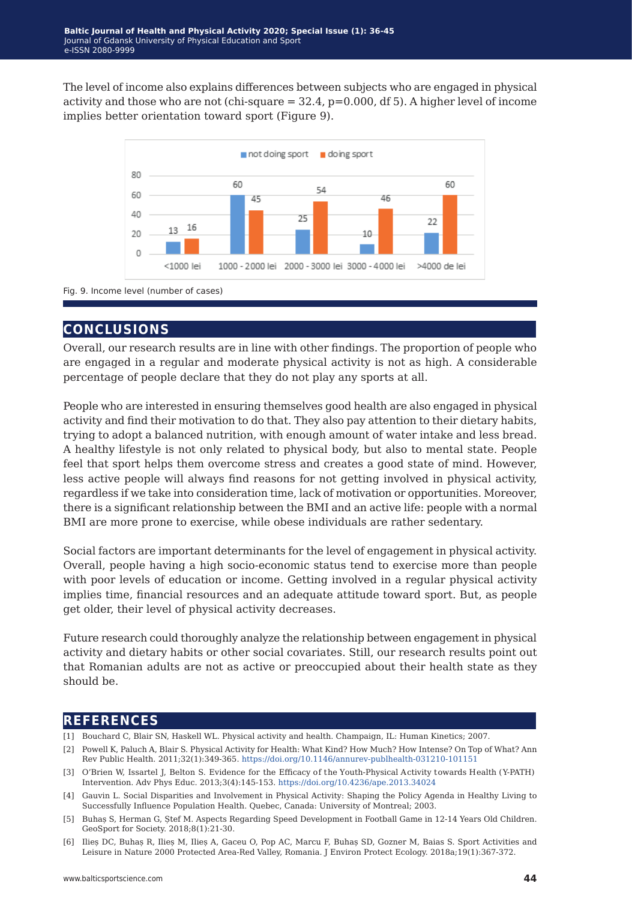The level of income also explains differences between subjects who are engaged in physical activity and those who are not (chi-square  $= 32.4$ ,  $p=0.000$ , df 5). A higher level of income implies better orientation toward sport (Figure 9).



Fig. 9. Income level (number of cases)

### **conclusions**

Overall, our research results are in line with other findings. The proportion of people who are engaged in a regular and moderate physical activity is not as high. A considerable percentage of people declare that they do not play any sports at all.

People who are interested in ensuring themselves good health are also engaged in physical activity and find their motivation to do that. They also pay attention to their dietary habits, trying to adopt a balanced nutrition, with enough amount of water intake and less bread. A healthy lifestyle is not only related to physical body, but also to mental state. People feel that sport helps them overcome stress and creates a good state of mind. However, less active people will always find reasons for not getting involved in physical activity, regardless if we take into consideration time, lack of motivation or opportunities. Moreover, there is a significant relationship between the BMI and an active life: people with a normal BMI are more prone to exercise, while obese individuals are rather sedentary.

Social factors are important determinants for the level of engagement in physical activity. Overall, people having a high socio-economic status tend to exercise more than people with poor levels of education or income. Getting involved in a regular physical activity implies time, financial resources and an adequate attitude toward sport. But, as people get older, their level of physical activity decreases.

Future research could thoroughly analyze the relationship between engagement in physical activity and dietary habits or other social covariates. Still, our research results point out that Romanian adults are not as active or preoccupied about their health state as they should be.

### **references**

- [1] Bouchard C, Blair SN, Haskell WL. Physical activity and health. Champaign, IL: Human Kinetics; 2007.
- [2] Powell K, Paluch A, Blair S. Physical Activity for Health: What Kind? How Much? How Intense? On Top of What? Ann Rev Public Health. 2011;32(1):349-365. <https://doi.org/10.1146/annurev-publhealth-031210-101151>
- [3] O'Brien W, Issartel J, Belton S. Evidence for the Efficacy of the Youth-Physical Activity towards Health (Y-PATH) Intervention. Adv Phys Educ. 2013;3(4):145-153. <https://doi.org/10.4236/ape.2013.34024>
- [4] Gauvin L. Social Disparities and Involvement in Physical Activity: Shaping the Policy Agenda in Healthy Living to Successfully Influence Population Health. Quebec, Canada: University of Montreal; 2003.
- [5] Buhaș S, Herman G, Ștef M. Aspects Regarding Speed Development in Football Game in 12-14 Years Old Children. GeoSport for Society. 2018;8(1):21-30.
- [6] Ilieș DC, Buhaș R, Ilieș M, Ilieș A, Gaceu O, Pop AC, Marcu F, Buhaș SD, Gozner M, Baias S. Sport Activities and Leisure in Nature 2000 Protected Area-Red Valley, Romania. J Environ Protect Ecology. 2018a;19(1):367-372.